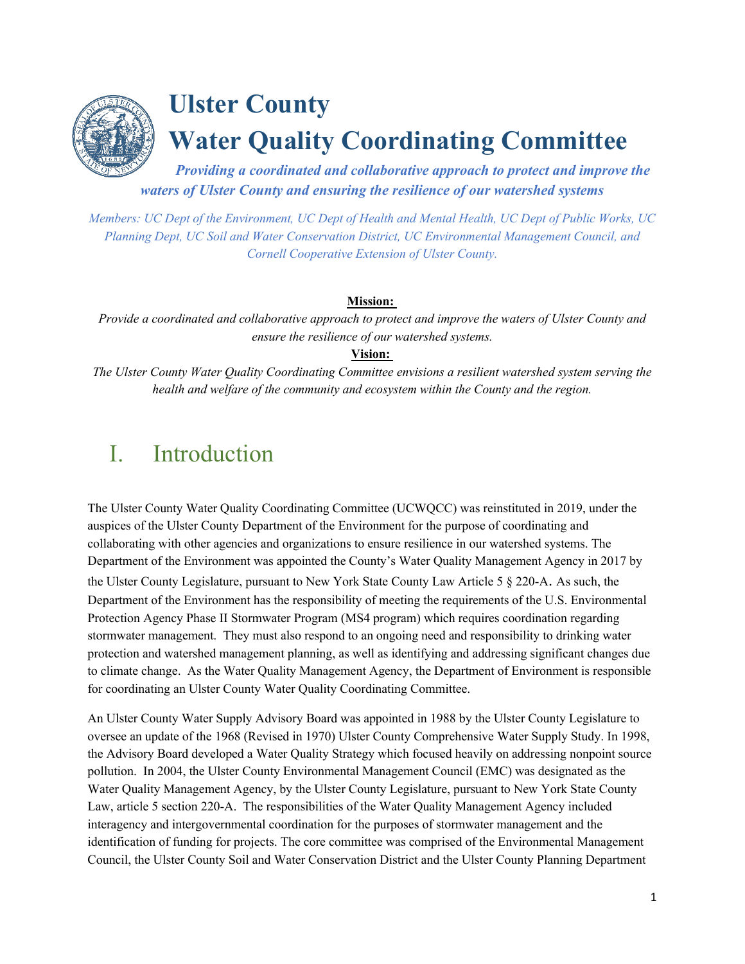

# **Ulster County Water Quality Coordinating Committee**

*Providing a coordinated and collaborative approach to protect and improve the waters of Ulster County and ensuring the resilience of our watershed systems*

*Members: UC Dept of the Environment, UC Dept of Health and Mental Health, UC Dept of Public Works, UC Planning Dept, UC Soil and Water Conservation District, UC Environmental Management Council, and Cornell Cooperative Extension of Ulster County.*

### **Mission:**

*Provide a coordinated and collaborative approach to protect and improve the waters of Ulster County and ensure the resilience of our watershed systems.*

### **Vision:**

*The Ulster County Water Quality Coordinating Committee envisions a resilient watershed system serving the health and welfare of the community and ecosystem within the County and the region.*

# I. Introduction

The Ulster County Water Quality Coordinating Committee (UCWQCC) was reinstituted in 2019, under the auspices of the Ulster County Department of the Environment for the purpose of coordinating and collaborating with other agencies and organizations to ensure resilience in our watershed systems. The Department of the Environment was appointed the County's Water Quality Management Agency in 2017 by the Ulster County Legislature, pursuant to New York State County Law Article 5 § 220-A. As such, the Department of the Environment has the responsibility of meeting the requirements of the U.S. Environmental Protection Agency Phase II Stormwater Program (MS4 program) which requires coordination regarding stormwater management. They must also respond to an ongoing need and responsibility to drinking water protection and watershed management planning, as well as identifying and addressing significant changes due to climate change. As the Water Quality Management Agency, the Department of Environment is responsible for coordinating an Ulster County Water Quality Coordinating Committee.

An Ulster County Water Supply Advisory Board was appointed in 1988 by the Ulster County Legislature to oversee an update of the 1968 (Revised in 1970) Ulster County Comprehensive Water Supply Study. In 1998, the Advisory Board developed a Water Quality Strategy which focused heavily on addressing nonpoint source pollution. In 2004, the Ulster County Environmental Management Council (EMC) was designated as the Water Quality Management Agency, by the Ulster County Legislature, pursuant to New York State County Law, article 5 section 220-A. The responsibilities of the Water Quality Management Agency included interagency and intergovernmental coordination for the purposes of stormwater management and the identification of funding for projects. The core committee was comprised of the Environmental Management Council, the Ulster County Soil and Water Conservation District and the Ulster County Planning Department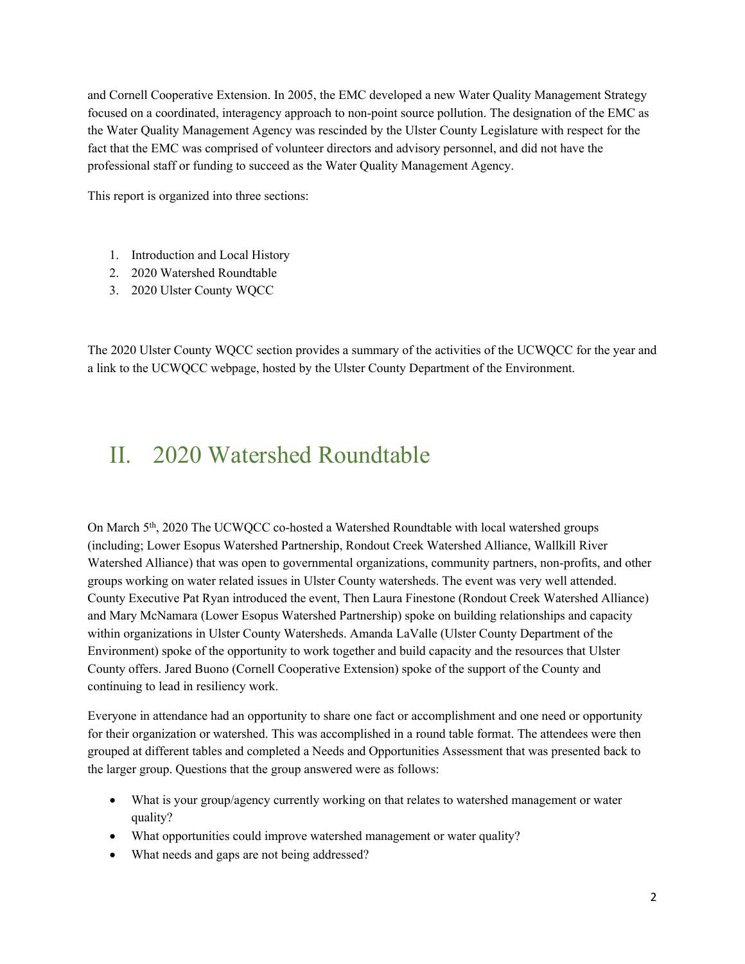and Cornell Cooperative Extension. In 2005, the EMC developed a new Water Quality Management Strategy focused on a coordinated, interagency approach to non-point source pollution. The designation of the EMC as the Water Quality Management Agency was rescinded by the Ulster County Legislature with respect for the fact that the EMC was comprised of volunteer directors and advisory personnel, and did not have the professional staff or funding to succeed as the Water Quality Management Agency.

This report is organized into three sections:

- 1. Introduction and Local History
- 2. 2020 Watershed Roundtable
- 3. 2020 Ulster County WQCC

The 2020 Ulster County WQCC section provides a summary of the activities of the UCWQCC for the year and a link to the UCWQCC webpage, hosted by the Ulster County Department of the Environment.

## II. 2020 Watershed Roundtable

On March 5th, 2020 The UCWQCC co-hosted a Watershed Roundtable with local watershed groups (including; Lower Esopus Watershed Partnership, Rondout Creek Watershed Alliance, Wallkill River Watershed Alliance) that was open to governmental organizations, community partners, non-profits, and other groups working on water related issues in Ulster County watersheds. The event was very well attended. County Executive Pat Ryan introduced the event, Then Laura Finestone (Rondout Creek Watershed Alliance) and Mary McNamara (Lower Esopus Watershed Partnership) spoke on building relationships and capacity within organizations in Ulster County Watersheds. Amanda LaValle (Ulster County Department of the Environment) spoke of the opportunity to work together and build capacity and the resources that Ulster County offers. Jared Buono (Cornell Cooperative Extension) spoke of the support of the County and continuing to lead in resiliency work.

Everyone in attendance had an opportunity to share one fact or accomplishment and one need or opportunity for their organization or watershed. This was accomplished in a round table format. The attendees were then grouped at different tables and completed a Needs and Opportunities Assessment that was presented back to the larger group. Questions that the group answered were as follows:

- What is your group/agency currently working on that relates to watershed management or water quality?
- What opportunities could improve watershed management or water quality?
- What needs and gaps are not being addressed?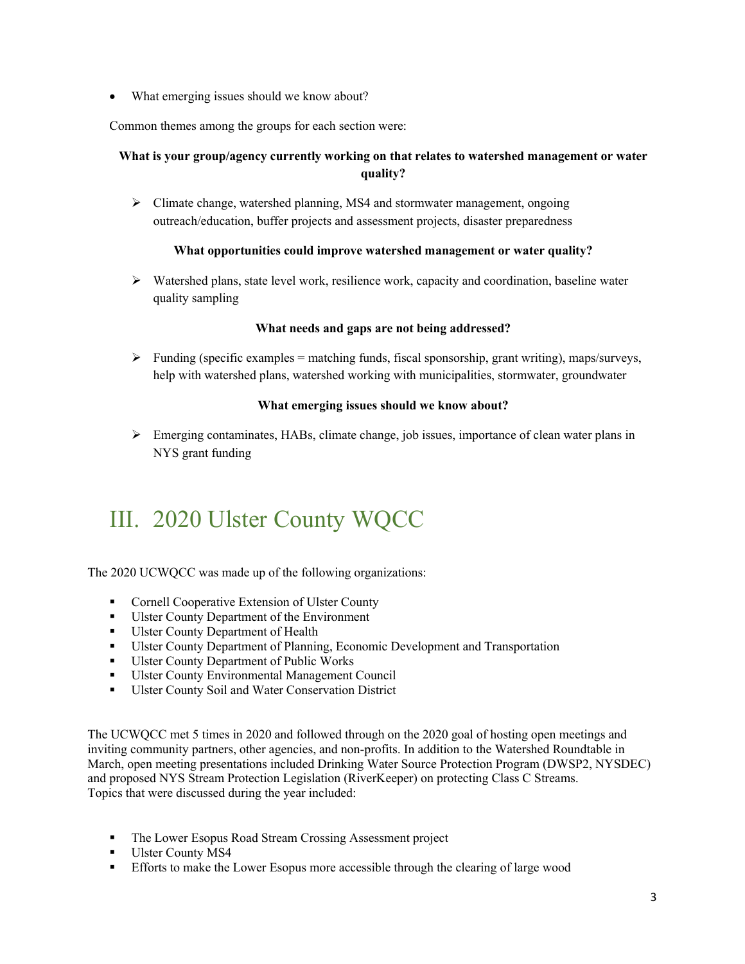• What emerging issues should we know about?

Common themes among the groups for each section were:

### **What is your group/agency currently working on that relates to watershed management or water quality?**

 $\triangleright$  Climate change, watershed planning, MS4 and stormwater management, ongoing outreach/education, buffer projects and assessment projects, disaster preparedness

#### **What opportunities could improve watershed management or water quality?**

 Watershed plans, state level work, resilience work, capacity and coordination, baseline water quality sampling

#### **What needs and gaps are not being addressed?**

 $\triangleright$  Funding (specific examples = matching funds, fiscal sponsorship, grant writing), maps/surveys, help with watershed plans, watershed working with municipalities, stormwater, groundwater

#### **What emerging issues should we know about?**

 Emerging contaminates, HABs, climate change, job issues, importance of clean water plans in NYS grant funding

# III. 2020 Ulster County WQCC

The 2020 UCWQCC was made up of the following organizations:

- **Cornell Cooperative Extension of Ulster County**
- Ulster County Department of the Environment
- Ulster County Department of Health
- Ulster County Department of Planning, Economic Development and Transportation
- Ulster County Department of Public Works
- **Ulster County Environmental Management Council**
- **Ulster County Soil and Water Conservation District**

The UCWQCC met 5 times in 2020 and followed through on the 2020 goal of hosting open meetings and inviting community partners, other agencies, and non-profits. In addition to the Watershed Roundtable in March, open meeting presentations included Drinking Water Source Protection Program (DWSP2, NYSDEC) and proposed NYS Stream Protection Legislation (RiverKeeper) on protecting Class C Streams. Topics that were discussed during the year included:

- The Lower Esopus Road Stream Crossing Assessment project
- Ulster County MS4
- Efforts to make the Lower Esopus more accessible through the clearing of large wood